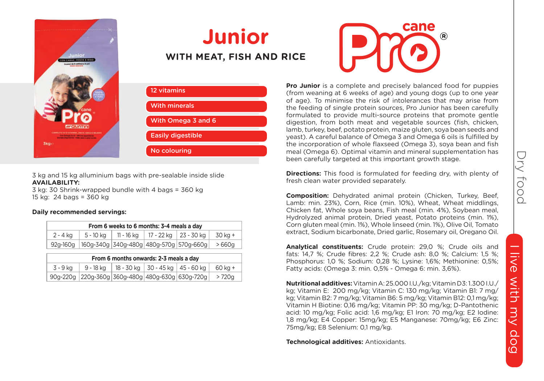



### **Junior WITH MEAT, FISH AND RICE**

| 12 vitamins              |
|--------------------------|
| <b>With minerals</b>     |
| With Omega 3 and 6       |
| <b>Easily digestible</b> |
| No colouring             |

3 kg and 15 kg alluminium bags with pre-sealable inside slide **AVAILABILITY:**

3 kg: 30 Shrink-wrapped bundle with 4 bags = 360 kg 15 kg: 24 bags = 360 kg

#### **Daily recommended servings:**

| From 6 weeks to 6 months: 3-4 meals a day |           |            |                         |                                                                     |         |
|-------------------------------------------|-----------|------------|-------------------------|---------------------------------------------------------------------|---------|
| 2 - 4 ka                                  | 5 - 10 ka | 11 - 16 ka | 17 - 22 ka   23 - 30 ka |                                                                     | 30 ka + |
|                                           |           |            |                         | $92g-160g$   160g-340g   340g-480g   480g-570g   570g-660g   > 660g |         |

| From 6 months onwards: 2-3 meals a day |                                                  |  |                                                  |         |
|----------------------------------------|--------------------------------------------------|--|--------------------------------------------------|---------|
| 3 - 9 ka                               |                                                  |  | 9 - 18 kg   18 - 30 kg   30 - 45 kg   45 - 60 kg | 60 ka + |
|                                        | 90g-220g 220g-360g 360g-480g 480g-630g 630g-720g |  |                                                  | > 720a  |

**Pro Junior** is a complete and precisely balanced food for puppies (from weaning at 6 weeks of age) and young dogs (up to one year of age). To minimise the risk of intolerances that may arise from the feeding of single protein sources, Pro Junior has been carefully formulated to provide multi-source proteins that promote gentle digestion, from both meat and vegetable sources (fish, chicken, lamb, turkey, beef, potato protein, maize gluten, soya bean seeds and yeast). A careful balance of Omega 3 and Omega 6 oils is fulfilled by the incorporation of whole flaxseed (Omega 3), soya bean and fish meal (Omega 6). Optimal vitamin and mineral supplementation has been carefully targeted at this important growth stage.

cane

**Directions:** This food is formulated for feeding dry, with plenty of fresh clean water provided separately.

**Composition:** Dehydrated animal protein (Chicken, Turkey, Beef, Lamb: min. 23%), Corn, Rice (min. 10%), Wheat, Wheat middlings, Chicken fat, Whole soya beans, Fish meal (min. 4%), Soybean meal, Hydrolyzed animal protein, Dried yeast, Potato proteins (min. 1%), Corn gluten meal (min. 1%), Whole linseed (min. 1%), Olive Oil, Tomato extract, Sodium bicarbonate, Dried garlic, Rosemary oil, Oregano Oil.

**Analytical constituents:** Crude protein: 29,0 %; Crude oils and fats: 14,7 %; Crude fibres: 2,2 %; Crude ash: 8,0 %; Calcium: 1,5 %; Phosphorus: 1,0 %; Sodium: 0,28 %; Lysine: 1,6%; Methionine: 0,5%; Fatty acids: (Omega 3: min. 0,5% - Omega 6: min. 3,6%).

**Nutritional additives:** Vitamin A: 25.000 I.U./kg; Vitamin D3: 1.300 I.U./ kg; Vitamin E: 200 mg/kg; Vitamin C: 130 mg/kg; Vitamin B1: 7 mg/ kg; Vitamin B2: 7 mg/kg; Vitamin B6: 5 mg/kg; Vitamin B12: 0,1 mg/kg; Vitamin H Biotine: 0,16 mg/kg; Vitamin PP: 30 mg/kg; D-Pantothenic acid: 10 mg/kg; Folic acid: 1,6 mg/kg; E1 Iron: 70 mg/kg; E2 Iodine: 1,8 mg/kg; E4 Copper: 15mg/kg; E5 Manganese: 70mg/kg; E6 Zinc: 75mg/kg; E8 Selenium: 0,1 mg/kg.

**Technological additives:** Antioxidants.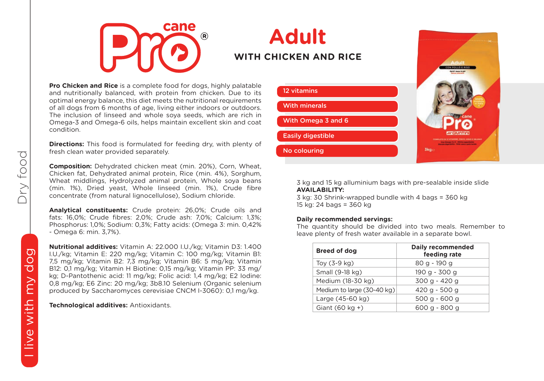

### **Adult WITH CHICKEN AND RICE**

**Pro Chicken and Rice** is a complete food for dogs, highly palatable and nutritionally balanced, with protein from chicken. Due to its optimal energy balance, this diet meets the nutritional requirements of all dogs from 6 months of age, living either indoors or outdoors. The inclusion of linseed and whole soya seeds, which are rich in Omega-3 and Omega-6 oils, helps maintain excellent skin and coat condition.

**Directions:** This food is formulated for feeding dry, with plenty of fresh clean water provided separately.

**Composition:** Dehydrated chicken meat (min. 20%), Corn, Wheat, Chicken fat, Dehydrated animal protein, Rice (min. 4%), Sorghum, Wheat middlings, Hydrolyzed animal protein, Whole soya beans (min. 1%), Dried yeast, Whole linseed (min. 1%), Crude fibre concentrate (from natural lignocellulose), Sodium chloride.

**Analytical constituents:** Crude protein: 26,0%; Crude oils and fats: 16,0%; Crude fibres: 2,0%; Crude ash: 7,0%; Calcium: 1,3%; Phosphorus: 1,0%; Sodium: 0,3%; Fatty acids: (Omega 3: min. 0,42% - Omega 6: min. 3,7%).

**Nutritional additives:** Vitamin A: 22.000 I.U./kg; Vitamin D3: 1.400 I.U./kg; Vitamin E: 220 mg/kg; Vitamin C: 100 mg/kg; Vitamin B1: 7,5 mg/kg; Vitamin B2: 7,3 mg/kg; Vitamin B6: 5 mg/kg; Vitamin B12: 0,1 mg/kg; Vitamin H Biotine: 0,15 mg/kg; Vitamin PP: 33 mg/ kg; D-Pantothenic acid: 11 mg/kg; Folic acid: 1,4 mg/kg; E2 Iodine: 0,8 mg/kg; E6 Zinc: 20 mg/kg; 3b8.10 Selenium (Organic selenium produced by Saccharomyces cerevisiae CNCM I-3060): 0,1 mg/kg.

**Technological additives:** Antioxidants.



3 kg and 15 kg alluminium bags with pre-sealable inside slide **AVAILABILITY:**

3 kg: 30 Shrink-wrapped bundle with 4 bags = 360 kg 15 kg: 24 bags = 360 kg

#### **Daily recommended servings:**

The quantity should be divided into two meals. Remember to leave plenty of fresh water available in a separate bowl.

| <b>Breed of dog</b>        | Daily recommended<br>feeding rate |
|----------------------------|-----------------------------------|
| Toy $(3-9$ kg)             | 80 g - 190 g                      |
| Small (9-18 kg)            | 190 a - 300 a                     |
| Medium (18-30 kg)          | 300 g - 420 g                     |
| Medium to large (30-40 kg) | 420 g - 500 g                     |
| Large (45-60 kg)           | $500$ a - 600 a                   |
| Giant $(60 \text{ kg} + )$ | 600 a - 800 a                     |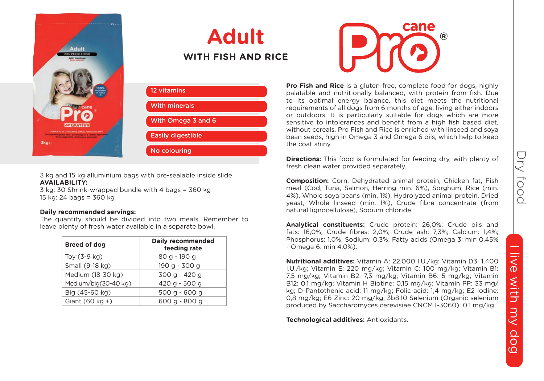

# **Adult WITH FISH AND RICE**

| 12 vitamins              |  |
|--------------------------|--|
| <b>With minerals</b>     |  |
| With Omega 3 and 6       |  |
| <b>Easily digestible</b> |  |
| No colouring             |  |

3 kg and 15 kg alluminium bags with pre-sealable inside slide **AVAILABILITY:**

3 kg: 30 Shrink-wrapped bundle with 4 bags = 360 kg 15 kg: 24 bags = 360 kg

#### **Daily recommended servings:**

The quantity should be divided into two meals. Remember to leave plenty of fresh water available in a separate bowl.

| <b>Breed of dog</b>        | Daily recommended<br>feeding rate |
|----------------------------|-----------------------------------|
| Toy $(3-9$ kg)             | 80 g - 190 g                      |
| Small (9-18 kg)            | 190 g - 300 g                     |
| Medium (18-30 kg)          | 300 a - 420 a                     |
| Medium/big(30-40 kg)       | 420 g - 500 g                     |
| Big (45-60 kg)             | 500 a - 600 a                     |
| Giant $(60 \text{ kg} + )$ | 600 g - 800 g                     |
|                            |                                   |



**Pro Fish and Rice** is a gluten-free, complete food for dogs, highly palatable and nutritionally balanced, with protein from fish. Due to its optimal energy balance, this diet meets the nutritional requirements of all dogs from 6 months of age, living either indoors or outdoors. It is particularly suitable for dogs which are more sensitive to intolerances and benefit from a high fish based diet, without cereals. Pro Fish and Rice is enriched with linseed and soya bean seeds, high in Omega 3 and Omega 6 oils, which help to keep the coat shiny.

**Directions:** This food is formulated for feeding dry, with plenty of fresh clean water provided separately.

**Composition:** Corn, Dehydrated animal protein, Chicken fat, Fish meal (Cod, Tuna, Salmon, Herring min. 6%), Sorghum, Rice (min. 4%), Whole soya beans (min. 1%), Hydrolyzed animal protein, Dried yeast, Whole linseed (min. 1%), Crude fibre concentrate (from natural lignocellulose), Sodium chloride.

**Analytical constituents:** Crude protein: 26,0%; Crude oils and fats: 16,0%; Crude fibres: 2,0%; Crude ash: 7,3%; Calcium: 1,4%; Phosphorus: 1,0%; Sodium: 0,3%; Fatty acids (Omega 3: min 0,45% - Omega 6: min 4,0%).

**Nutritional additives:** Vitamin A: 22.000 I.U./kg; Vitamin D3: 1.400 I.U./kg; Vitamin E: 220 mg/kg; Vitamin C: 100 mg/kg; Vitamin B1: 7,5 mg/kg; Vitamin B2: 7,3 mg/kg; Vitamin B6: 5 mg/kg; Vitamin B12: 0,1 mg/kg; Vitamin H Biotine: 0,15 mg/kg; Vitamin PP: 33 mg/ kg; D-Pantothenic acid: 11 mg/kg; Folic acid: 1,4 mg/kg; E2 Iodine: 0,8 mg/kg; E6 Zinc: 20 mg/kg; 3b8.10 Selenium (Organic selenium produced by Saccharomyces cerevisiae CNCM I-3060): 0,1 mg/kg.

**Technological additives:** Antioxidants.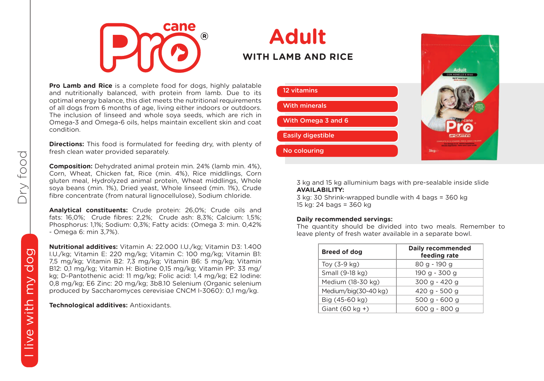

# **Adult WITH LAMB AND RICE**

**Pro Lamb and Rice** is a complete food for dogs, highly palatable and nutritionally balanced, with protein from lamb. Due to its optimal energy balance, this diet meets the nutritional requirements of all dogs from 6 months of age, living either indoors or outdoors. The inclusion of linseed and whole soya seeds, which are rich in Omega-3 and Omega-6 oils, helps maintain excellent skin and coat condition.

**Directions:** This food is formulated for feeding dry, with plenty of fresh clean water provided separately.

**Composition:** Dehydrated animal protein min. 24% (lamb min. 4%), Corn, Wheat, Chicken fat, Rice (min. 4%), Rice middlings, Corn gluten meal, Hydrolyzed animal protein, Wheat middlings, Whole soya beans (min. 1%), Dried yeast, Whole linseed (min. 1%), Crude fibre concentrate (from natural lignocellulose), Sodium chloride.

**Analytical constituents:** Crude protein: 26,0%; Crude oils and fats: 16,0%; Crude fibres: 2,2%; Crude ash: 8,3%; Calcium: 1,5%; Phosphorus: 1,1%; Sodium: 0,3%; Fatty acids: (Omega 3: min. 0,42% - Omega 6: min 3,7%).

**Nutritional additives:** Vitamin A: 22.000 I.U./kg; Vitamin D3: 1.400 I.U./kg; Vitamin E: 220 mg/kg; Vitamin C: 100 mg/kg; Vitamin B1: 7,5 mg/kg; Vitamin B2: 7,3 mg/kg; Vitamin B6: 5 mg/kg; Vitamin B12: 0,1 mg/kg; Vitamin H: Biotine 0,15 mg/kg; Vitamin PP: 33 mg/ kg; D-Pantothenic acid: 11 mg/kg; Folic acid: 1,4 mg/kg; E2 Iodine: 0,8 mg/kg; E6 Zinc: 20 mg/kg; 3b8.10 Selenium (Organic selenium produced by Saccharomyces cerevisiae CNCM I-3060): 0,1 mg/kg.

**Technological additives:** Antioxidants.



3 kg and 15 kg alluminium bags with pre-sealable inside slide **AVAILABILITY:**

3 kg: 30 Shrink-wrapped bundle with 4 bags = 360 kg 15 kg: 24 bags = 360 kg

#### **Daily recommended servings:**

The quantity should be divided into two meals. Remember to leave plenty of fresh water available in a separate bowl.

| <b>Breed of dog</b>        | Daily recommended<br>feeding rate |
|----------------------------|-----------------------------------|
| Toy $(3-9$ kg)             | 80 g - 190 g                      |
| Small (9-18 kg)            | 190 g - 300 g                     |
| Medium (18-30 kg)          | 300 g - 420 g                     |
| Medium/big(30-40 kg)       | 420 g - 500 g                     |
| Big (45-60 kg)             | $500 g - 600 g$                   |
| Giant $(60 \text{ kg} + )$ | 600 g - 800 g                     |

Dry food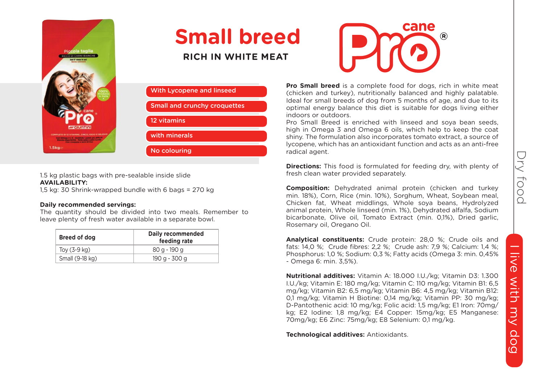

# **Small breed**

**RICH IN WHITE MEAT**



1.5 kg plastic bags with pre-sealable inside slide **AVAILABILITY:**

1,5 kg: 30 Shrink-wrapped bundle with 6 bags = 270 kg

#### **Daily recommended servings:**

The quantity should be divided into two meals. Remember to leave plenty of fresh water available in a separate bowl.

| Breed of dog    | Daily recommended<br>feeding rate |
|-----------------|-----------------------------------|
| Toy $(3-9$ kg)  | 80 a - 190 a                      |
| Small (9-18 kg) | 190 g - 300 g                     |



**Pro Small breed** is a complete food for dogs, rich in white meat (chicken and turkey), nutritionally balanced and highly palatable. Ideal for small breeds of dog from 5 months of age, and due to its optimal energy balance this diet is suitable for dogs living either indoors or outdoors.

Pro Small Breed is enriched with linseed and soya bean seeds, high in Omega 3 and Omega 6 oils, which help to keep the coat shiny. The formulation also incorporates tomato extract, a source of lycopene, which has an antioxidant function and acts as an anti-free radical agent.

**Directions:** This food is formulated for feeding dry, with plenty of fresh clean water provided separately.

**Composition:** Dehydrated animal protein (chicken and turkey min. 18%), Corn, Rice (min. 10%), Sorghum, Wheat, Soybean meal, Chicken fat, Wheat middlings, Whole soya beans, Hydrolyzed animal protein, Whole linseed (min. 1%), Dehydrated alfalfa, Sodium bicarbonate, Olive oil, Tomato Extract (min. 0,1%), Dried garlic, Rosemary oil, Oregano Oil.

**Analytical constituents:** Crude protein: 28,0 %; Crude oils and fats: 14,0 %; Crude fibres: 2,2 %; Crude ash: 7,9 %; Calcium: 1,4 %; Phosphorus: 1,0 %; Sodium: 0,3 %; Fatty acids (Omega 3: min. 0,45% - Omega 6: min. 3,5%).

**Nutritional additives:** Vitamin A: 18.000 I.U./kg; Vitamin D3: 1.300 I.U./kg; Vitamin E: 180 mg/kg; Vitamin C: 110 mg/kg; Vitamin B1: 6,5 mg/kg; Vitamin B2: 6,5 mg/kg; Vitamin B6: 4,5 mg/kg; Vitamin B12: 0,1 mg/kg; Vitamin H Biotine: 0,14 mg/kg; Vitamin PP: 30 mg/kg; D-Pantothenic acid: 10 mg/kg; Folic acid: 1,5 mg/kg; E1 Iron: 70mg/ kg; E2 Iodine: 1,8 mg/kg; E4 Copper: 15mg/kg; E5 Manganese: 70mg/kg; E6 Zinc: 75mg/kg; E8 Selenium: 0,1 mg/kg.

**Technological additives:** Antioxidants.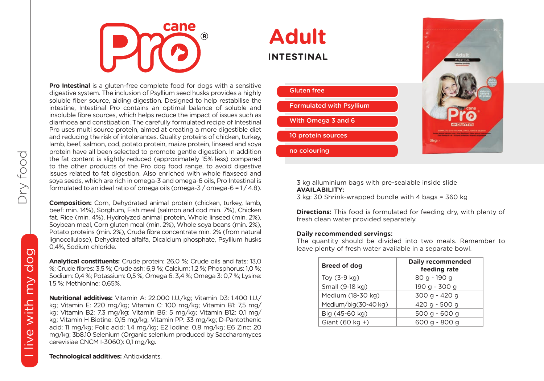

**Adult INTESTINAL**

**Pro Intestinal** is a gluten-free complete food for dogs with a sensitive digestive system. The inclusion of Psyllium seed husks provides a highly soluble fiber source, aiding digestion. Designed to help restabilise the intestine, Intestinal Pro contains an optimal balance of soluble and insoluble fibre sources, which helps reduce the impact of issues such as diarrhoea and constipation. The carefully formulated recipe of Intestinal Pro uses multi source protein, aimed at creating a more digestible diet and reducing the risk of intolerances. Quality proteins of chicken, turkey, lamb, beef, salmon, cod, potato protein, maize protein, linseed and soya protein have all been selected to promote gentle digestion. In addition the fat content is slightly reduced (approximately 15% less) compared to the other products of the Pro dog food range, to avoid digestive issues related to fat digestion. Also enriched with whole flaxseed and soya seeds, which are rich in omega-3 and omega-6 oils, Pro Intestinal is formulated to an ideal ratio of omega oils (omega-3 / omega-6 = 1 / 4.8).

**Composition:** Corn, Dehydrated animal protein (chicken, turkey, lamb, beef: min. 14%), Sorghum, Fish meal (salmon and cod min. 7%), Chicken fat, Rice (min. 4%), Hydrolyzed animal protein, Whole linseed (min. 2%), Soybean meal, Corn gluten meal (min. 2%), Whole soya beans (min. 2%), Potato proteins (min. 2%), Crude fibre concentrate min. 2% (from natural lignocellulose), Dehydrated alfalfa, Dicalcium phosphate, Psyllium husks 0,4%, Sodium chloride.

**Analytical constituents:** Crude protein: 26,0 %; Crude oils and fats: 13,0 %; Crude fibres: 3,5 %; Crude ash: 6,9 %; Calcium: 1,2 %; Phosphorus: 1,0 %; Sodium: 0,4 %; Potassium: 0,5 %; Omega 6: 3,4 %; Omega 3: 0,7 %; Lysine: 1,5 %; Methionine: 0,65%.

**Nutritional additives:** Vitamin A: 22.000 I.U./kg; Vitamin D3: 1.400 I.U./ kg; Vitamin E: 220 mg/kg; Vitamin C: 100 mg/kg; Vitamin B1: 7,5 mg/ kg; Vitamin B2: 7,3 mg/kg; Vitamin B6: 5 mg/kg; Vitamin B12: 0,1 mg/ kg; Vitamin H Biotine: 0,15 mg/kg; Vitamin PP: 33 mg/kg; D-Pantothenic acid: 11 mg/kg; Folic acid: 1,4 mg/kg; E2 Iodine: 0,8 mg/kg; E6 Zinc: 20 mg/kg; 3b8.10 Selenium (Organic selenium produced by Saccharomyces cerevisiae CNCM I-3060): 0,1 mg/kg.



3 kg alluminium bags with pre-sealable inside slide **AVAILABILITY:**

3 kg: 30 Shrink-wrapped bundle with 4 bags = 360 kg

**Directions:** This food is formulated for feeding dry, with plenty of fresh clean water provided separately.

#### **Daily recommended servings:**

The quantity should be divided into two meals. Remember to leave plenty of fresh water available in a separate bowl.

| <b>Breed of dog</b>        | Daily recommended<br>feeding rate |
|----------------------------|-----------------------------------|
| Toy $(3-9$ kg)             | 80 g - 190 g                      |
| Small (9-18 kg)            | 190 g - 300 g                     |
| Medium (18-30 kg)          | 300 g - 420 g                     |
| Medium/big(30-40 kg)       | 420 g - 500 g                     |
| Big (45-60 kg)             | $500 g - 600 g$                   |
| Giant $(60 \text{ kg} + )$ | 600 a - 800 a                     |

Dry food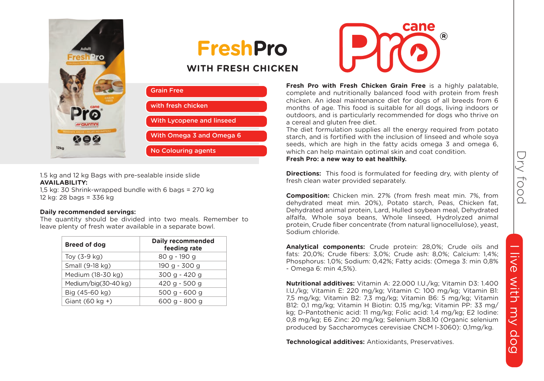

**Composition:** Chicken min. 27% (from fresh meat min. 7%, from dehydrated meat min. 20%), Potato starch, Peas, Chicken fat, Dehydrated animal protein, Lard, Hulled soybean meal, Dehydrated alfalfa, Whole soya beans, Whole linseed, Hydrolyzed animal protein, Crude fiber concentrate (from natural lignocellulose), yeast, Sodium chloride.

**Analytical components:** Crude protein: 28,0%; Crude oils and fats: 20,0%; Crude fibers: 3,0%; Crude ash: 8,0%; Calcium: 1,4%; Phosphorus: 1,0%; Sodium: 0,42%; Fatty acids: (Omega 3: min 0,8% - Omega 6: min 4,5%).

**Nutritional additives:** Vitamin A: 22.000 I.U./kg; Vitamin D3: 1.400 I.U./kg; Vitamin E: 220 mg/kg; Vitamin C: 100 mg/kg; Vitamin B1: 7,5 mg/kg; Vitamin B2: 7,3 mg/kg; Vitamin B6: 5 mg/kg; Vitamin B12: 0,1 mg/kg; Vitamin H Biotin: 0,15 mg/kg; Vitamin PP: 33 mg/ kg; D-Pantothenic acid: 11 mg/kg; Folic acid: 1,4 mg/kg; E2 Iodine: 0,8 mg/kg; E6 Zinc: 20 mg/kg; Selenium 3b8.10 (Organic selenium produced by Saccharomyces cerevisiae CNCM I-3060): 0,1mg/kg.

**Technological additives:** Antioxidants, Preservatives.

1.5 kg and 12 kg Bags with pre-sealable inside slide **AVAILABILITY:**

1,5 kg: 30 Shrink-wrapped bundle with 6 bags = 270 kg 12 kg: 28 bags = 336 kg

#### **Daily recommended servings:**

58 C

 $12<sub>kc</sub>$ 

The quantity should be divided into two meals. Remember to leave plenty of fresh water available in a separate bowl.

Grain Free

with fresh chicken

No Colouring agents

With Lycopene and linseed With Omega 3 and Omega 6

**FreshPro**

**WITH FRESH CHICKEN**

| Daily recommended<br>feeding rate |
|-----------------------------------|
| 80 g - 190 g                      |
| 190 g - 300 g                     |
| 300 g - 420 g                     |
| 420 g - 500 g                     |
| $500 g - 600 g$                   |
| 600 g - 800 g                     |
|                                   |



**Fresh Pro with Fresh Chicken Grain Free** is a highly palatable, complete and nutritionally balanced food with protein from fresh chicken. An ideal maintenance diet for dogs of all breeds from 6 months of age. This food is suitable for all dogs, living indoors or outdoors, and is particularly recommended for dogs who thrive on a cereal and gluten free diet.

The diet formulation supplies all the energy required from potato starch, and is fortified with the inclusion of linseed and whole soya seeds, which are high in the fatty acids omega 3 and omega 6, which can help maintain optimal skin and coat condition. **Fresh Pro: a new way to eat healthily.**

**Directions:** This food is formulated for feeding dry, with plenty of fresh clean water provided separately.

Dry food